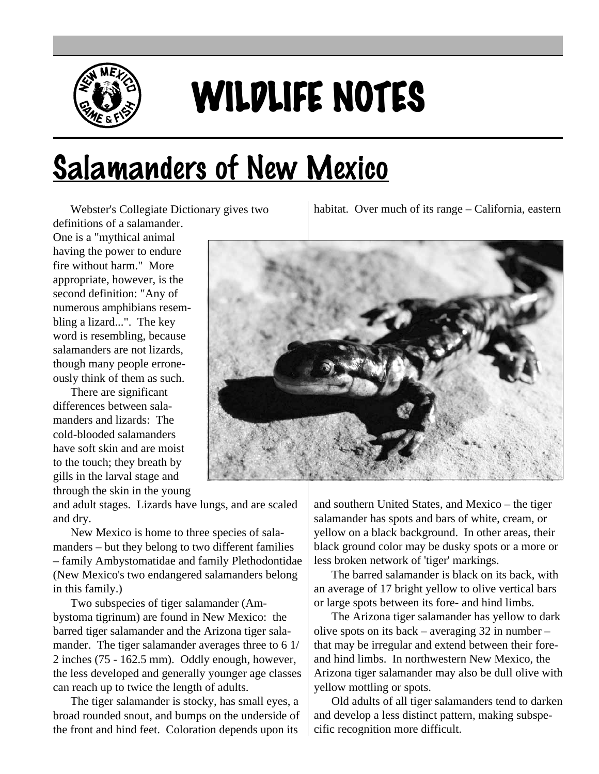

## WILDLIFE NOTES

## Salamanders of New Mexico

Webster's Collegiate Dictionary gives two

definitions of a salamander. One is a "mythical animal having the power to endure fire without harm." More appropriate, however, is the second definition: "Any of numerous amphibians resembling a lizard...". The key word is resembling, because salamanders are not lizards, though many people erroneously think of them as such.

There are significant differences between salamanders and lizards: The cold-blooded salamanders have soft skin and are moist to the touch; they breath by gills in the larval stage and through the skin in the young

and adult stages. Lizards have lungs, and are scaled and dry.

New Mexico is home to three species of salamanders – but they belong to two different families – family Ambystomatidae and family Plethodontidae (New Mexico's two endangered salamanders belong in this family.)

Two subspecies of tiger salamander (Ambystoma tigrinum) are found in New Mexico: the barred tiger salamander and the Arizona tiger salamander. The tiger salamander averages three to 6 1/ 2 inches (75 - 162.5 mm). Oddly enough, however, the less developed and generally younger age classes can reach up to twice the length of adults.

The tiger salamander is stocky, has small eyes, a broad rounded snout, and bumps on the underside of the front and hind feet. Coloration depends upon its

habitat. Over much of its range – California, eastern



and southern United States, and Mexico – the tiger salamander has spots and bars of white, cream, or yellow on a black background. In other areas, their black ground color may be dusky spots or a more or less broken network of 'tiger' markings.

The barred salamander is black on its back, with an average of 17 bright yellow to olive vertical bars or large spots between its fore- and hind limbs.

The Arizona tiger salamander has yellow to dark olive spots on its back – averaging 32 in number – that may be irregular and extend between their foreand hind limbs. In northwestern New Mexico, the Arizona tiger salamander may also be dull olive with yellow mottling or spots.

Old adults of all tiger salamanders tend to darken and develop a less distinct pattern, making subspecific recognition more difficult.